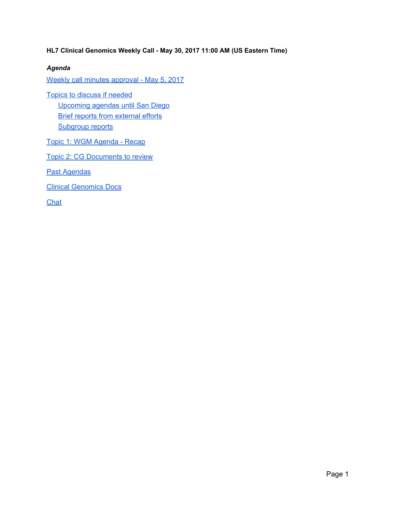**HL7 Clinical Genomics Weekly Call - May 30, 2017 11:00 AM (US Eastern Time)**

### *Agenda*

Weekly call minutes approval - May 5, 2017

Topics to discuss if [needed](#page-1-0) [Upcoming](#page-1-2) agendas until San Diego Brief reports from [external](#page-1-1) efforts **[Subgroup](#page-2-0) reports** 

Topic 1: WGM [Agenda](#page-2-1) - Recap

Topic 2: CG [Documents](#page-3-0) to review

Past [Agendas](#page-4-0)

Clinical [Genomics](#page-4-1) Docs

**[Chat](#page-4-2)**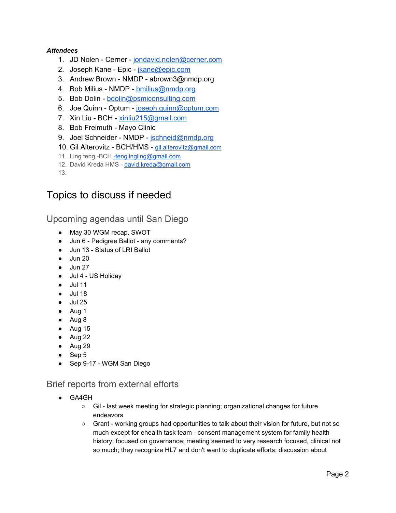### *Attendees*

- 1. JD Nolen Cerner [jondavid.nolen@cerner.com](mailto:jondavid.nolen@cerner.com)
- 2. Joseph Kane Epic [jkane@epic.com](mailto:jkane@epic.com)
- 3. Andrew Brown NMDP abrown3@nmdp.org
- 4. Bob Milius NMDP [bmilius@nmdp.org](mailto:bmilius@nmdp.org)
- 5. Bob Dolin [bdolin@psmiconsulting.com](mailto:bdolin@psmiconsulting.com)
- 6. Joe Quinn Optum [joseph.quinn@optum.com](mailto:joseph.quinn@optum.com)
- 7. Xin Liu BCH [xinliu215@gmail.com](mailto:xinliu215@gmail.com)
- 8. Bob Freimuth Mayo Clinic
- 9. Joel Schneider NMDP [jschneid@nmdp.org](mailto:jschneid@nmdp.org)
- 10. Gil Alterovitz BCH/HMS [gil.alterovitz@gmail.com](mailto:gil.alterovitz@gmail.com)
- 11. Ling teng -BCH [-tenglingling@gmail.com](mailto:-tenglingling@gmail.com)
- 12. David Kreda HMS [david.kreda@gmail.com](mailto:david.kreda@gmail.com)

13.

## <span id="page-1-0"></span>Topics to discuss if needed

<span id="page-1-2"></span>Upcoming agendas until San Diego

- May 30 WGM recap, SWOT
- Jun 6 Pedigree Ballot any comments?
- Jun 13 Status of LRI Ballot
- $\bullet$  Jun 20
- Jun 27
- Jul 4 US Holiday
- Jul 11
- Jul 18
- $\bullet$  Jul 25
- Aug 1
- Aug 8
- Aug 15
- Aug 22
- Aug 29
- Sep 5
- Sep 9-17 WGM San Diego

## <span id="page-1-1"></span>Brief reports from external efforts

- GA4GH
	- Gil last week meeting for strategic planning; organizational changes for future endeavors
	- Grant working groups had opportunities to talk about their vision for future, but not so much except for ehealth task team - consent management system for family health history; focused on governance; meeting seemed to very research focused, clinical not so much; they recognize HL7 and don't want to duplicate efforts; discussion about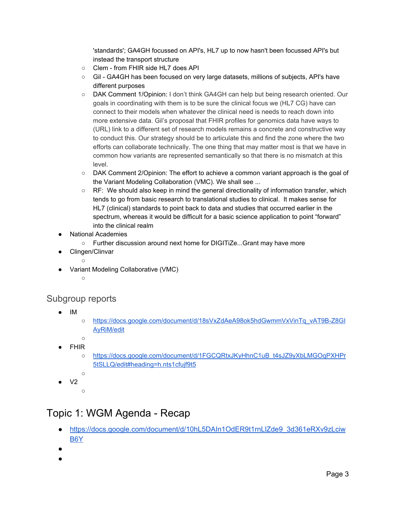'standards'; GA4GH focussed on API's, HL7 up to now hasn't been focussed API's but instead the transport structure

- Clem from FHIR side HL7 does API
- Gil GA4GH has been focused on very large datasets, millions of subjects, API's have different purposes
- DAK Comment 1/Opinion: I don't think GA4GH can help but being research oriented. Our goals in coordinating with them is to be sure the clinical focus we (HL7 CG) have can connect to their models when whatever the clinical need is needs to reach down into more extensive data. Gil's proposal that FHIR profiles for genomics data have ways to (URL) link to a different set of research models remains a concrete and constructive way to conduct this. Our strategy should be to articulate this and find the zone where the two efforts can collaborate technically. The one thing that may matter most is that we have in common how variants are represented semantically so that there is no mismatch at this level.
- DAK Comment 2/Opinion: The effort to achieve a common variant approach is the goal of the Variant Modeling Collaboration (VMC). We shall see ...
- $\circ$  RF: We should also keep in mind the general directionality of information transfer, which tends to go from basic research to translational studies to clinical. It makes sense for HL7 (clinical) standards to point back to data and studies that occurred earlier in the spectrum, whereas it would be difficult for a basic science application to point "forward" into the clinical realm
- **National Academies** 
	- Further discussion around next home for DIGITiZe...Grant may have more
	- Clingen/Clinvar
		- $\circ$
- Variant Modeling Collaborative (VMC)
	- $\circ$

## <span id="page-2-0"></span>Subgroup reports

- IM
- [https://docs.google.com/document/d/18sVxZdAeA98ok5hdGwmmVxVinTq\\_vAT9B-Z8GI](https://docs.google.com/document/d/18sVxZdAeA98ok5hdGwmmVxVinTq_vAT9B-Z8GIAyRiM/edit) [AyRiM/edit](https://docs.google.com/document/d/18sVxZdAeA98ok5hdGwmmVxVinTq_vAT9B-Z8GIAyRiM/edit)
- $\circ$ **FHIR** 
	- [https://docs.google.com/document/d/1FGCQRtxJKyHhnC1uB\\_t4sJZ9yXbLMGOqPXHPr](https://docs.google.com/document/d/1FGCQRtxJKyHhnC1uB_t4sJZ9yXbLMGOqPXHPr5tSLLQ/edit#heading=h.nts1cfujf9t5) [5tSLLQ/edit#heading=h.nts1cfujf9t5](https://docs.google.com/document/d/1FGCQRtxJKyHhnC1uB_t4sJZ9yXbLMGOqPXHPr5tSLLQ/edit#heading=h.nts1cfujf9t5)
- $V<sub>2</sub>$ 
	- $\bigcap$

 $\circ$ 

# <span id="page-2-1"></span>Topic 1: WGM Agenda - Recap

- [https://docs.google.com/document/d/10hL5DAIn1OdER9t1rnLlZde9\\_3d361eRXv9zLciw](https://docs.google.com/document/d/10hL5DAIn1OdER9t1rnLlZde9_3d361eRXv9zLciwB6Y/edit) [B6Y](https://docs.google.com/document/d/10hL5DAIn1OdER9t1rnLlZde9_3d361eRXv9zLciwB6Y/edit)
- ●
- ●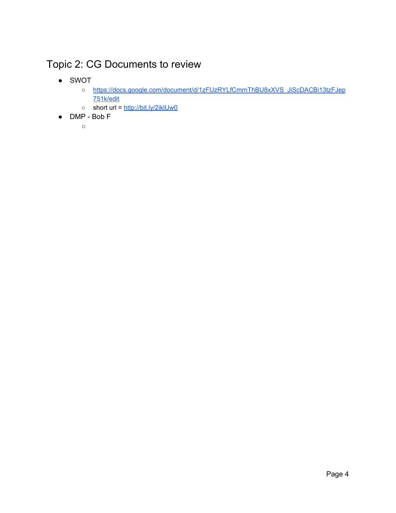# <span id="page-3-0"></span>Topic 2: CG Documents to review

- SWOT
	- [https://docs.google.com/document/d/1zFUzRYLfCmrnThBU8xXVS\\_JiScDACBi13tzFJep](https://docs.google.com/document/d/1zFUzRYLfCmrnThBU8xXVS_JiScDACBi13tzFJep751k/edit) [751k/edit](https://docs.google.com/document/d/1zFUzRYLfCmrnThBU8xXVS_JiScDACBi13tzFJep751k/edit)
	- short url = <http://bit.ly/2iklUw0>
- DMP Bob F
	- ○